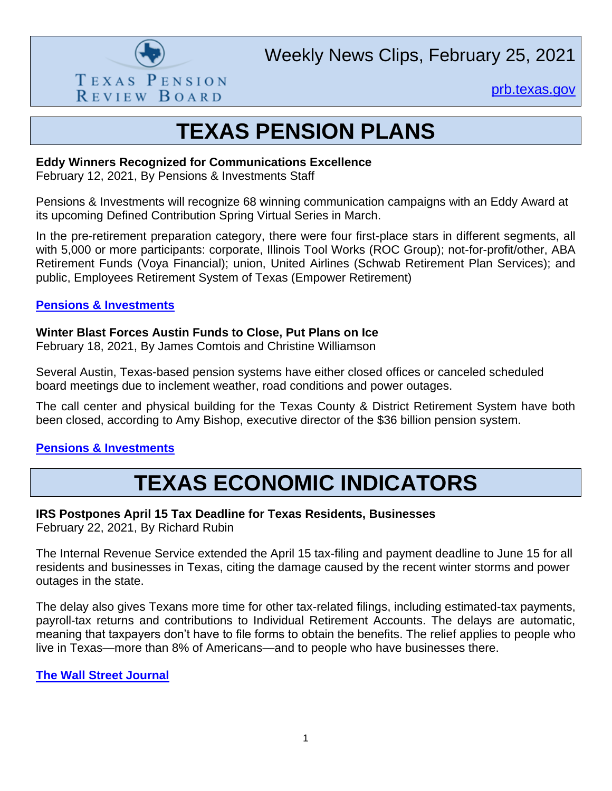

Weekly News Clips, February 25, 2021

[prb.texas.gov](http://www.prb.texas.gov/)

# **TEXAS PENSION PLANS**

#### **Eddy Winners Recognized for Communications Excellence**

February 12, 2021, By Pensions & Investments Staff

Pensions & Investments will recognize 68 winning communication campaigns with an Eddy Award at its upcoming Defined Contribution Spring Virtual Series in March.

In the pre-retirement preparation category, there were four first-place stars in different segments, all with 5,000 or more participants: corporate, Illinois Tool Works (ROC Group); not-for-profit/other, ABA Retirement Funds (Voya Financial); union, United Airlines (Schwab Retirement Plan Services); and [public, Employees Retirement System of Texas \(Empower Retirement\)](https://www.pionline.com/awards/eddy-winners-recognized-communications-excellence)

### **[Pensions & Investments](https://www.pionline.com/awards/eddy-winners-recognized-communications-excellence)**

## **Winter Blast Forces Austin Funds to Close, Put Plans on Ice**

February 18, 2021, By James Comtois and Christine Williamson

Several Austin, Texas-based pension systems have either closed offices or canceled scheduled board meetings due to inclement weather, road conditions and power outages.

The call center and physical building for the Texas County & District Retirement System have both been closed, according to Amy Bishop, executive director of the \$36 billion pension system.

# **[Pensions & Investments](https://www.pionline.com/pension-funds/winter-blast-forces-austin-funds-close-put-plans-ice)**

# **TEXAS ECONOMIC INDICATORS**

# **IRS Postpones April 15 Tax Deadline for Texas Residents, Businesses**

February 22, 2021, By Richard Rubin

The Internal Revenue Service extended the April 15 tax-filing and payment deadline to June 15 for all residents and businesses in Texas, citing the damage caused by the recent winter storms and power outages in the state.

The delay also gives Texans more time for other tax-related filings, including estimated-tax payments, payroll-tax returns and contributions to Individual Retirement Accounts. The delays are automatic, meaning that taxpayers don't have to file forms to obtain the benefits. The relief applies to people who [live in Texas—more than 8% of Americans—and to people who have businesses there.](https://www.wsj.com/articles/irs-extends-april-15-tax-filing-deadline-for-texas-residents-businesses-11614030526?page=1) 

### **[The Wall Street Journal](https://www.wsj.com/articles/irs-extends-april-15-tax-filing-deadline-for-texas-residents-businesses-11614030526?page=1)**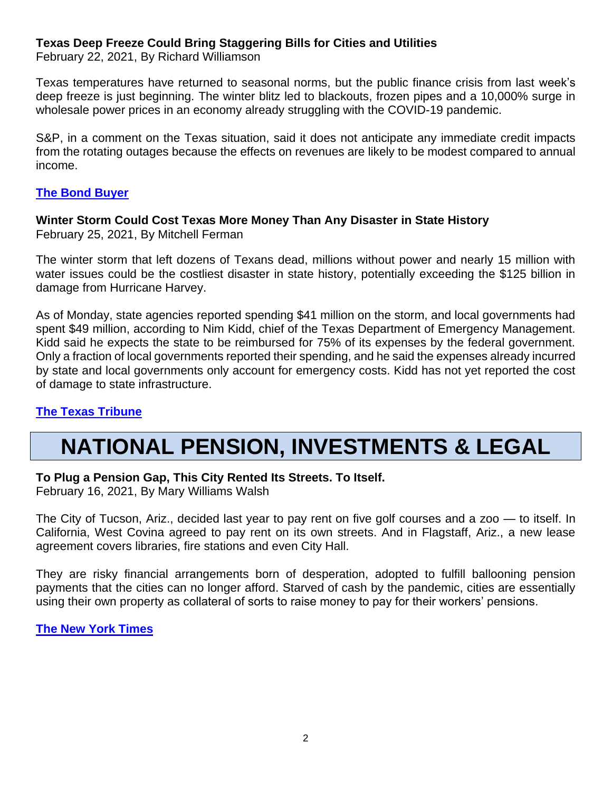### **Texas Deep Freeze Could Bring Staggering Bills for Cities and Utilities**

February 22, 2021, By Richard Williamson

Texas temperatures have returned to seasonal norms, but the public finance crisis from last week's deep freeze is just beginning. The winter blitz led to blackouts, frozen pipes and a 10,000% surge in wholesale power prices in an economy already struggling with the COVID-19 pandemic.

S&P, in a comment on the Texas situation, said it does not anticipate any immediate credit impacts from the rotating outages because the effects on revenues are likely to be modest compared to annual income.

## **[The Bond Buyer](https://webcache.googleusercontent.com/search?q=cache:bSKIk8bYmGIJ:https://www.bondbuyer.com/news/texas-deep-freeze-could-bring-staggering-bills-for-cities-utilities+&cd=2&hl=en&ct=clnk&gl=us)**

#### **Winter Storm Could Cost Texas More Money Than Any Disaster in State History** February 25, 2021, By Mitchell Ferman

The winter storm that left dozens of Texans dead, millions without power and nearly 15 million with water issues could be the costliest disaster in state history, potentially exceeding the \$125 billion in damage from Hurricane Harvey.

As of Monday, state agencies reported spending \$41 million on the storm, and local governments had spent \$49 million, according to Nim Kidd, chief of the Texas Department of Emergency Management. Kidd said he expects the state to be reimbursed for 75% of its expenses by the federal government. Only a fraction of local governments reported their spending, and he said the expenses already incurred by state and local governments only account for emergency costs. Kidd has not yet reported the cost of damage to state infrastructure.

# **[The Texas Tribune](https://www.texastribune.org/2021/02/25/texas-winter-storm-cost-budget/)**

# **NATIONAL PENSION, INVESTMENTS & LEGAL**

### **To Plug a Pension Gap, This City Rented Its Streets. To Itself.**

February 16, 2021, By Mary Williams Walsh

The City of Tucson, Ariz., decided last year to pay rent on five golf courses and a zoo — to itself. In California, West Covina agreed to pay rent on its own streets. And in Flagstaff, Ariz., a new lease agreement covers libraries, fire stations and even City Hall.

They are risky financial arrangements born of desperation, adopted to fulfill ballooning pension payments that the cities can no longer afford. Starved of cash by the pandemic, cities are essentially using their own property as collateral of sorts to raise money to pay for their workers' pensions.

# **[The New York Times](https://www.nytimes.com/2021/02/16/business/dealbook/pension-borrowing-retirement.html)**